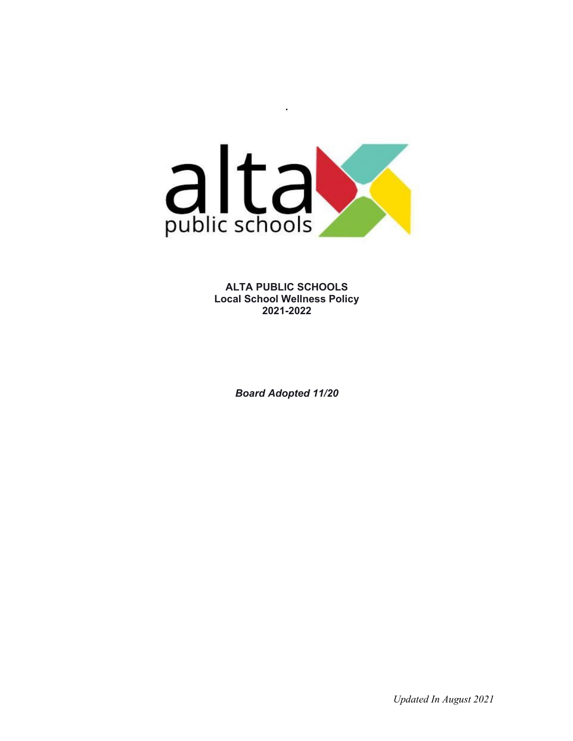

**.**

**ALTA PUBLIC SCHOOLS Local School Wellness Policy 2021-2022**

*Board Adopted 11/20*

 *Updated In August 2021*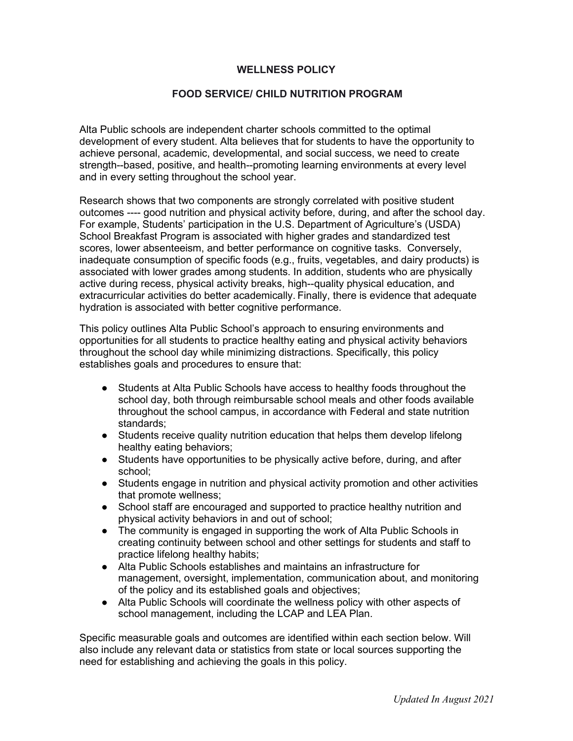#### **WELLNESS POLICY**

#### **FOOD SERVICE/ CHILD NUTRITION PROGRAM**

Alta Public schools are independent charter schools committed to the optimal development of every student. Alta believes that for students to have the opportunity to achieve personal, academic, developmental, and social success, we need to create strength--based, positive, and health--promoting learning environments at every level and in every setting throughout the school year.

Research shows that two components are strongly correlated with positive student outcomes ---- good nutrition and physical activity before, during, and after the school day. For example, Students' participation in the U.S. Department of Agriculture's (USDA) School Breakfast Program is associated with higher grades and standardized test scores, lower absenteeism, and better performance on cognitive tasks. Conversely, inadequate consumption of specific foods (e.g., fruits, vegetables, and dairy products) is associated with lower grades among students. In addition, students who are physically active during recess, physical activity breaks, high--quality physical education, and extracurricular activities do better academically. Finally, there is evidence that adequate hydration is associated with better cognitive performance.

This policy outlines Alta Public School's approach to ensuring environments and opportunities for all students to practice healthy eating and physical activity behaviors throughout the school day while minimizing distractions. Specifically, this policy establishes goals and procedures to ensure that:

- Students at Alta Public Schools have access to healthy foods throughout the school day, both through reimbursable school meals and other foods available throughout the school campus, in accordance with Federal and state nutrition standards;
- Students receive quality nutrition education that helps them develop lifelong healthy eating behaviors;
- Students have opportunities to be physically active before, during, and after school;
- Students engage in nutrition and physical activity promotion and other activities that promote wellness;
- School staff are encouraged and supported to practice healthy nutrition and physical activity behaviors in and out of school;
- The community is engaged in supporting the work of Alta Public Schools in creating continuity between school and other settings for students and staff to practice lifelong healthy habits;
- Alta Public Schools establishes and maintains an infrastructure for management, oversight, implementation, communication about, and monitoring of the policy and its established goals and objectives;
- Alta Public Schools will coordinate the wellness policy with other aspects of school management, including the LCAP and LEA Plan.

Specific measurable goals and outcomes are identified within each section below. Will also include any relevant data or statistics from state or local sources supporting the need for establishing and achieving the goals in this policy.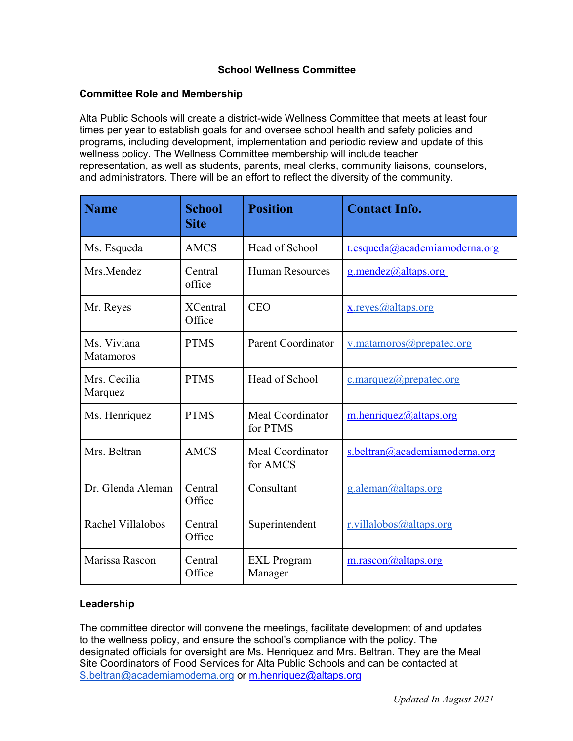### **School Wellness Committee**

#### **Committee Role and Membership**

Alta Public Schools will create a district-wide Wellness Committee that meets at least four times per year to establish goals for and oversee school health and safety policies and programs, including development, implementation and periodic review and update of this wellness policy. The Wellness Committee membership will include teacher representation, as well as students, parents, meal clerks, community liaisons, counselors, and administrators. There will be an effort to reflect the diversity of the community.

| <b>Name</b>                     | <b>School</b><br><b>Site</b> | <b>Position</b>               | <b>Contact Info.</b>          |
|---------------------------------|------------------------------|-------------------------------|-------------------------------|
| Ms. Esqueda                     | <b>AMCS</b>                  | Head of School                | t.esqueda@academiamoderna.org |
| Mrs.Mendez                      | Central<br>office            | <b>Human Resources</b>        | g.mendez@altaps.org           |
| Mr. Reyes                       | <b>XCentral</b><br>Office    | <b>CEO</b>                    | x.reyes@altaps.org            |
| Ms. Viviana<br><b>Matamoros</b> | <b>PTMS</b>                  | <b>Parent Coordinator</b>     | v.matamoros@prepatec.org      |
| Mrs. Cecilia<br>Marquez         | <b>PTMS</b>                  | Head of School                | c.marquez@prepatec.org        |
| Ms. Henriquez                   | <b>PTMS</b>                  | Meal Coordinator<br>for PTMS  | m.henriquez@altaps.org        |
| Mrs. Beltran                    | <b>AMCS</b>                  | Meal Coordinator<br>for AMCS  | s.beltran@academiamoderna.org |
| Dr. Glenda Aleman               | Central<br>Office            | Consultant                    | g.aleman@altaps.org           |
| Rachel Villalobos               | Central<br>Office            | Superintendent                | r.villalobos@altaps.org       |
| Marissa Rascon                  | Central<br>Office            | <b>EXL</b> Program<br>Manager | m.rascon@altaps.org           |

#### **Leadership**

The committee director will convene the meetings, facilitate development of and updates to the wellness policy, and ensure the school's compliance with the policy. The designated officials for oversight are Ms. Henriquez and Mrs. Beltran. They are the Meal Site Coordinators of Food Services for Alta Public Schools and can be contacted at [S.beltran@academiamoderna.org](mailto:S.beltran@academiamoderna.org) or m.henriquez@altaps.org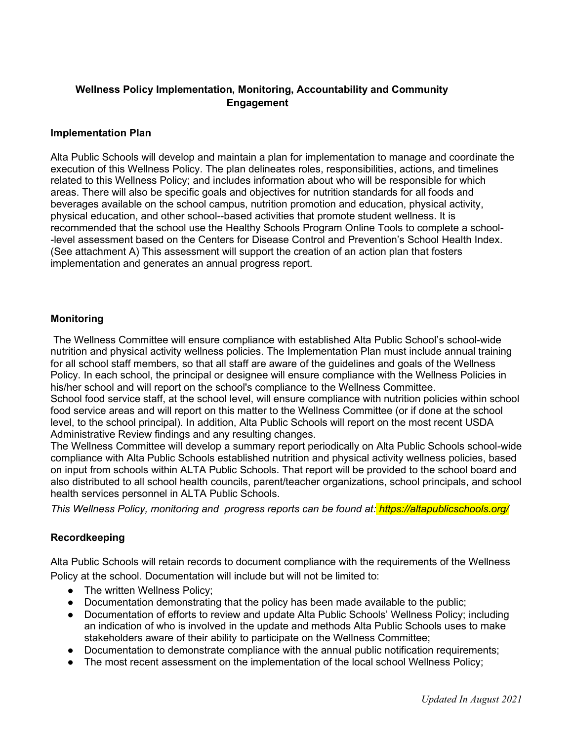## **Wellness Policy Implementation, Monitoring, Accountability and Community Engagement**

#### **Implementation Plan**

Alta Public Schools will develop and maintain a plan for implementation to manage and coordinate the execution of this Wellness Policy. The plan delineates roles, responsibilities, actions, and timelines related to this Wellness Policy; and includes information about who will be responsible for which areas. There will also be specific goals and objectives for nutrition standards for all foods and beverages available on the school campus, nutrition promotion and education, physical activity, physical education, and other school--based activities that promote student wellness. It is recommended that the school use the Healthy Schools Program Online Tools to complete a school level assessment based on the Centers for Disease Control and Prevention's School Health Index. (See attachment A) This assessment will support the creation of an action plan that fosters implementation and generates an annual progress report.

#### **Monitoring**

The Wellness Committee will ensure compliance with established Alta Public School's school-wide nutrition and physical activity wellness policies. The Implementation Plan must include annual training for all school staff members, so that all staff are aware of the guidelines and goals of the Wellness Policy. In each school, the principal or designee will ensure compliance with the Wellness Policies in his/her school and will report on the school's compliance to the Wellness Committee.

School food service staff, at the school level, will ensure compliance with nutrition policies within school food service areas and will report on this matter to the Wellness Committee (or if done at the school level, to the school principal). In addition, Alta Public Schools will report on the most recent USDA Administrative Review findings and any resulting changes.

The Wellness Committee will develop a summary report periodically on Alta Public Schools school-wide compliance with Alta Public Schools established nutrition and physical activity wellness policies, based on input from schools within ALTA Public Schools. That report will be provided to the school board and also distributed to all school health councils, parent/teacher organizations, school principals, and school health services personnel in ALTA Public Schools.

*This Wellness Policy, monitoring and progress reports can be found at: https://altapublicschools.org/*

#### **Recordkeeping**

Alta Public Schools will retain records to document compliance with the requirements of the Wellness Policy at the school. Documentation will include but will not be limited to:

- The written Wellness Policy;
- Documentation demonstrating that the policy has been made available to the public;
- Documentation of efforts to review and update Alta Public Schools' Wellness Policy; including an indication of who is involved in the update and methods Alta Public Schools uses to make stakeholders aware of their ability to participate on the Wellness Committee;
- Documentation to demonstrate compliance with the annual public notification requirements;
- The most recent assessment on the implementation of the local school Wellness Policy;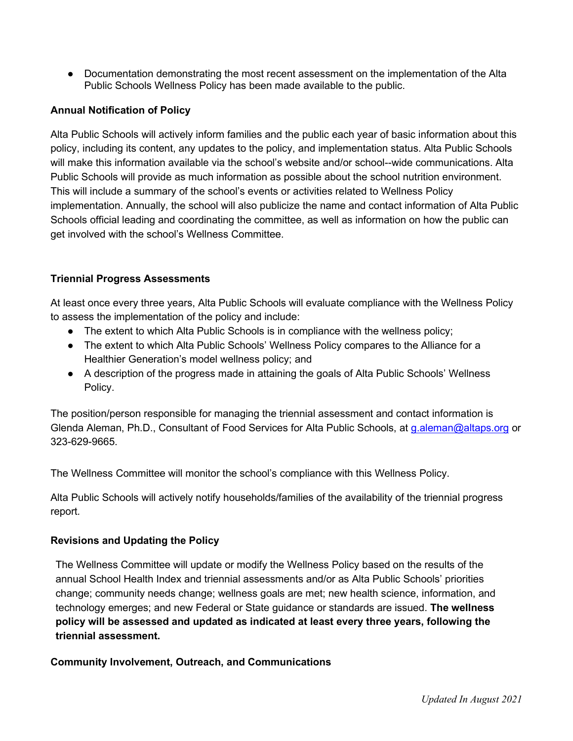● Documentation demonstrating the most recent assessment on the implementation of the Alta Public Schools Wellness Policy has been made available to the public.

## **Annual Notification of Policy**

Alta Public Schools will actively inform families and the public each year of basic information about this policy, including its content, any updates to the policy, and implementation status. Alta Public Schools will make this information available via the school's website and/or school--wide communications. Alta Public Schools will provide as much information as possible about the school nutrition environment. This will include a summary of the school's events or activities related to Wellness Policy implementation. Annually, the school will also publicize the name and contact information of Alta Public Schools official leading and coordinating the committee, as well as information on how the public can get involved with the school's Wellness Committee.

## **Triennial Progress Assessments**

At least once every three years, Alta Public Schools will evaluate compliance with the Wellness Policy to assess the implementation of the policy and include:

- The extent to which Alta Public Schools is in compliance with the wellness policy;
- The extent to which Alta Public Schools' Wellness Policy compares to the Alliance for a Healthier Generation's model wellness policy; and
- A description of the progress made in attaining the goals of Alta Public Schools' Wellness Policy.

The position/person responsible for managing the triennial assessment and contact information is Glenda Aleman, Ph.D., Consultant of Food Services for Alta Public Schools, at [g.aleman@altaps.org](mailto:g.aleman@altaps.org) or 323-629-9665.

The Wellness Committee will monitor the school's compliance with this Wellness Policy.

Alta Public Schools will actively notify households/families of the availability of the triennial progress report*.*

## **Revisions and Updating the Policy**

The Wellness Committee will update or modify the Wellness Policy based on the results of the annual School Health Index and triennial assessments and/or as Alta Public Schools' priorities change; community needs change; wellness goals are met; new health science, information, and technology emerges; and new Federal or State guidance or standards are issued. **The wellness policy will be assessed and updated as indicated at least every three years, following the triennial assessment.**

**Community Involvement, Outreach, and Communications**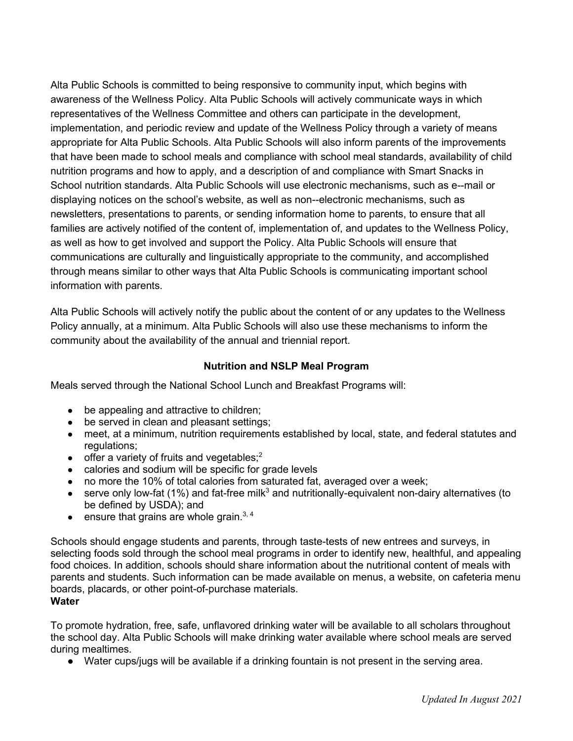Alta Public Schools is committed to being responsive to community input, which begins with awareness of the Wellness Policy. Alta Public Schools will actively communicate ways in which representatives of the Wellness Committee and others can participate in the development, implementation, and periodic review and update of the Wellness Policy through a variety of means appropriate for Alta Public Schools. Alta Public Schools will also inform parents of the improvements that have been made to school meals and compliance with school meal standards, availability of child nutrition programs and how to apply, and a description of and compliance with Smart Snacks in School nutrition standards. Alta Public Schools will use electronic mechanisms, such as e--mail or displaying notices on the school's website, as well as non--electronic mechanisms, such as newsletters, presentations to parents, or sending information home to parents, to ensure that all families are actively notified of the content of, implementation of, and updates to the Wellness Policy, as well as how to get involved and support the Policy. Alta Public Schools will ensure that communications are culturally and linguistically appropriate to the community, and accomplished through means similar to other ways that Alta Public Schools is communicating important school information with parents.

Alta Public Schools will actively notify the public about the content of or any updates to the Wellness Policy annually, at a minimum. Alta Public Schools will also use these mechanisms to inform the community about the availability of the annual and triennial report.

### **Nutrition and NSLP Meal Program**

Meals served through the National School Lunch and Breakfast Programs will:

- be appealing and attractive to children;
- be served in clean and pleasant settings;
- meet, at a minimum, nutrition requirements established by local, state, and federal statutes and regulations:
- $\bullet$  offer a variety of fruits and vegetables;<sup>2</sup>
- calories and sodium will be specific for grade levels
- no more the 10% of total calories from saturated fat, averaged over a week;
- $\bullet$  serve only low-fat (1%) and fat-free milk<sup>3</sup> and nutritionally-equivalent non-dairy alternatives (to be defined by USDA); and
- $\bullet$  ensure that grains are whole grain.<sup>3, 4</sup>

Schools should engage students and parents, through taste-tests of new entrees and surveys, in selecting foods sold through the school meal programs in order to identify new, healthful, and appealing food choices. In addition, schools should share information about the nutritional content of meals with parents and students. Such information can be made available on menus, a website, on cafeteria menu boards, placards, or other point-of-purchase materials. **Water**

To promote hydration, free, safe, unflavored drinking water will be available to all scholars throughout the school day. Alta Public Schools will make drinking water available where school meals are served during mealtimes.

● Water cups/jugs will be available if a drinking fountain is not present in the serving area.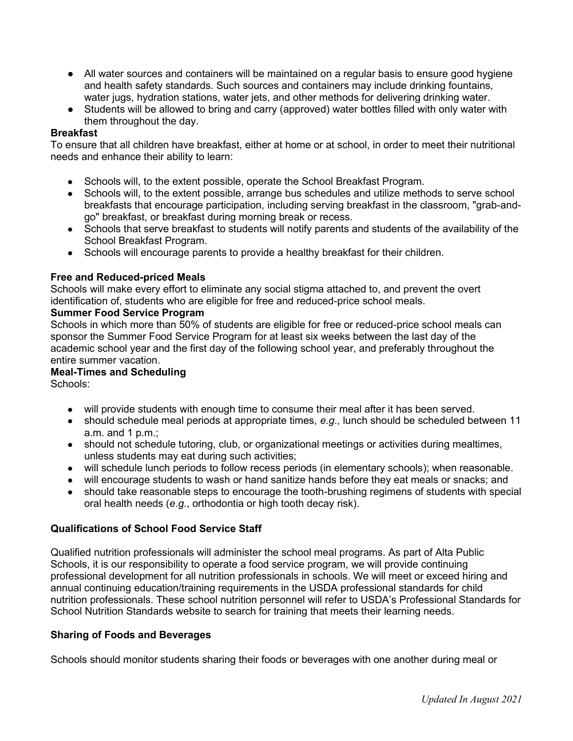- All water sources and containers will be maintained on a regular basis to ensure good hygiene and health safety standards. Such sources and containers may include drinking fountains, water jugs, hydration stations, water jets, and other methods for delivering drinking water.
- Students will be allowed to bring and carry (approved) water bottles filled with only water with them throughout the day.

#### **Breakfast**

To ensure that all children have breakfast, either at home or at school, in order to meet their nutritional needs and enhance their ability to learn:

- Schools will, to the extent possible, operate the School Breakfast Program.
- Schools will, to the extent possible, arrange bus schedules and utilize methods to serve school breakfasts that encourage participation, including serving breakfast in the classroom, "grab-andgo" breakfast, or breakfast during morning break or recess.
- Schools that serve breakfast to students will notify parents and students of the availability of the School Breakfast Program.
- Schools will encourage parents to provide a healthy breakfast for their children.

#### **Free and Reduced-priced Meals**

Schools will make every effort to eliminate any social stigma attached to, and prevent the overt identification of, students who are eligible for free and reduced-price school meals.

#### **Summer Food Service Program**

Schools in which more than 50% of students are eligible for free or reduced-price school meals can sponsor the Summer Food Service Program for at least six weeks between the last day of the academic school year and the first day of the following school year, and preferably throughout the entire summer vacation.

#### **Meal-Times and Scheduling**

Schools:

- will provide students with enough time to consume their meal after it has been served.
- should schedule meal periods at appropriate times, *e.g.*, lunch should be scheduled between 11 a.m. and 1 p.m.;
- should not schedule tutoring, club, or organizational meetings or activities during mealtimes, unless students may eat during such activities;
- will schedule lunch periods to follow recess periods (in elementary schools); when reasonable.
- will encourage students to wash or hand sanitize hands before they eat meals or snacks; and
- should take reasonable steps to encourage the tooth-brushing regimens of students with special oral health needs (*e*.*g*., orthodontia or high tooth decay risk).

#### **Qualifications of School Food Service Staff**

Qualified nutrition professionals will administer the school meal programs. As part of Alta Public Schools, it is our responsibility to operate a food service program, we will provide continuing professional development for all nutrition professionals in schools. We will meet or exceed hiring and annual continuing education/training requirements in the USDA professional standards for child nutrition professionals. These school nutrition personnel will refer to USDA's Professional Standards for School Nutrition Standards website to search for training that meets their learning needs.

#### **Sharing of Foods and Beverages**

Schools should monitor students sharing their foods or beverages with one another during meal or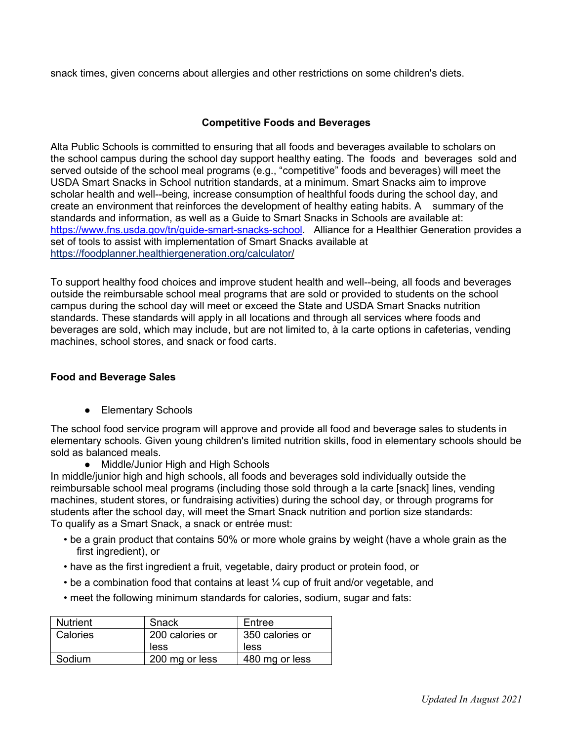snack times, given concerns about allergies and other restrictions on some children's diets.

### **Competitive Foods and Beverages**

Alta Public Schools is committed to ensuring that all foods and beverages available to scholars on the school campus during the school day support healthy eating. The foods and beverages sold and served outside of the school meal programs (e.g., "competitive" foods and beverages) will meet the USDA Smart Snacks in School nutrition standards, at a minimum. Smart Snacks aim to improve scholar health and well--being, increase consumption of healthful foods during the school day, and create an environment that reinforces the development of healthy eating habits. A summary of the standards and information, as well as a Guide to Smart Snacks in Schools are available at: [https://www.fns.usda.gov/tn/guide-smart-snacks-school.](https://www.fns.usda.gov/tn/guide-smart-snacks-school) Alliance for a Healthier Generation provides a set of tools to assist with implementation of Smart Snacks available at https://foodplanner.healthiergeneration.org/calculator/

To support healthy food choices and improve student health and well--being, all foods and beverages outside the reimbursable school meal programs that are sold or provided to students on the school campus during the school day will meet or exceed the State and USDA Smart Snacks nutrition standards. These standards will apply in all locations and through all services where foods and beverages are sold, which may include, but are not limited to, à la carte options in cafeterias, vending machines, school stores, and snack or food carts.

### **Food and Beverage Sales**

● Elementary Schools

The school food service program will approve and provide all food and beverage sales to students in elementary schools. Given young children's limited nutrition skills, food in elementary schools should be sold as balanced meals.

● Middle/Junior High and High Schools

In middle/junior high and high schools, all foods and beverages sold individually outside the reimbursable school meal programs (including those sold through a la carte [snack] lines, vending machines, student stores, or fundraising activities) during the school day, or through programs for students after the school day, will meet the Smart Snack nutrition and portion size standards: To qualify as a Smart Snack, a snack or entrée must:

- be a grain product that contains 50% or more whole grains by weight (have a whole grain as the first ingredient), or
- have as the first ingredient a fruit, vegetable, dairy product or protein food, or
- be a combination food that contains at least ¼ cup of fruit and/or vegetable, and
- meet the following minimum standards for calories, sodium, sugar and fats:

| <b>Nutrient</b> | Snack           | Entree          |
|-----------------|-----------------|-----------------|
| Calories        | 200 calories or | 350 calories or |
|                 | less            | less            |
| Sodium          | 200 mg or less  | 480 mg or less  |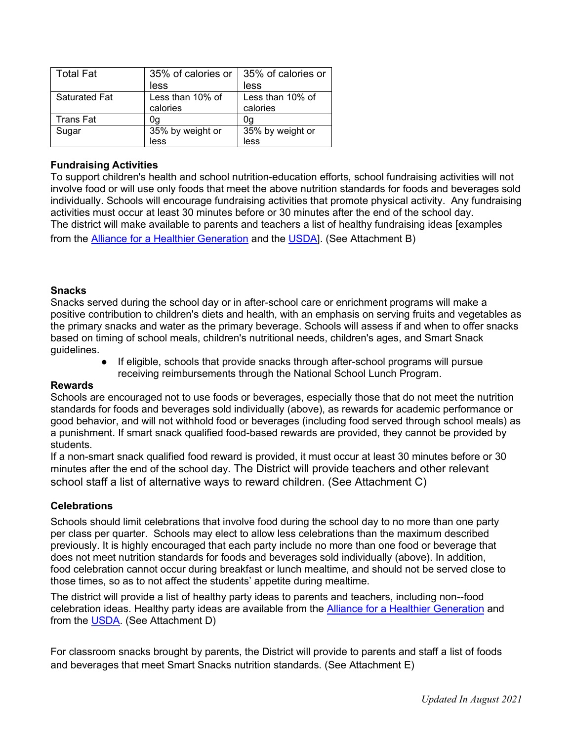| Total Fat            | 35% of calories or | 35% of calories or |
|----------------------|--------------------|--------------------|
|                      | less               | less               |
| <b>Saturated Fat</b> | Less than 10% of   | Less than 10% of   |
|                      | calories           | calories           |
| <b>Trans Fat</b>     | 0q                 | 0q                 |
| Sugar                | 35% by weight or   | 35% by weight or   |
|                      | less               | less               |

## **Fundraising Activities**

To support children's health and school nutrition-education efforts, school fundraising activities will not involve food or will use only foods that meet the above nutrition standards for foods and beverages sold individually. Schools will encourage fundraising activities that promote physical activity. Any fundraising activities must occur at least 30 minutes before or 30 minutes after the end of the school day. The district will make available to parents and teachers a list of healthy fundraising ideas [examples from the Alliance for a Healthier Generation and the USDA]. (See Attachment B)

### **Snacks**

Snacks served during the school day or in after-school care or enrichment programs will make a positive contribution to children's diets and health, with an emphasis on serving fruits and vegetables as the primary snacks and water as the primary beverage. Schools will assess if and when to offer snacks based on timing of school meals, children's nutritional needs, children's ages, and Smart Snack guidelines.

● If eligible, schools that provide snacks through after-school programs will pursue receiving reimbursements through the National School Lunch Program.

## **Rewards**

Schools are encouraged not to use foods or beverages, especially those that do not meet the nutrition standards for foods and beverages sold individually (above), as rewards for academic performance or good behavior, and will not withhold food or beverages (including food served through school meals) as a punishment. If smart snack qualified food-based rewards are provided, they cannot be provided by students.

If a non-smart snack qualified food reward is provided, it must occur at least 30 minutes before or 30 minutes after the end of the school day. The District will provide teachers and other relevant school staff a list of alternative ways to reward children. (See Attachment C)

## **Celebrations**

Schools should limit celebrations that involve food during the school day to no more than one party per class per quarter. Schools may elect to allow less celebrations than the maximum described previously. It is highly encouraged that each party include no more than one food or beverage that does not meet nutrition standards for foods and beverages sold individually (above). In addition, food celebration cannot occur during breakfast or lunch mealtime, and should not be served close to those times, so as to not affect the students' appetite during mealtime.

The district will provide a list of healthy party ideas to parents and teachers, including non--food celebration ideas. Healthy party ideas are available from the Alliance for a Healthier Generation and from the USDA. (See Attachment D)

For classroom snacks brought by parents, the District will provide to parents and staff a list of foods and beverages that meet Smart Snacks nutrition standards. (See Attachment E)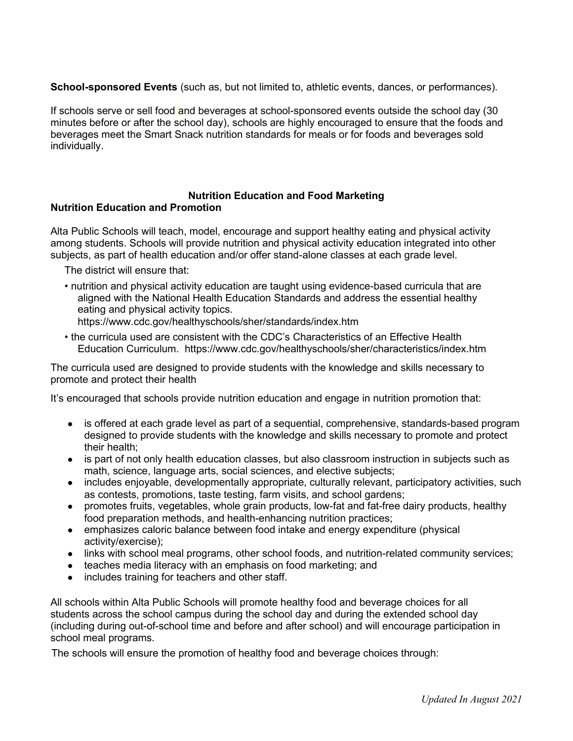**School-sponsored Events** (such as, but not limited to, athletic events, dances, or performances).

If schools serve or sell food and beverages at school-sponsored events outside the school day (30 minutes before or after the school day), schools are highly encouraged to ensure that the foods and beverages meet the Smart Snack nutrition standards for meals or for foods and beverages sold individually.

#### **Nutrition Education and Food Marketing Nutrition Education and Promotion**

Alta Public Schools will teach, model, encourage and support healthy eating and physical activity among students. Schools will provide nutrition and physical activity education integrated into other subjects, as part of health education and/or offer stand-alone classes at each grade level.

The district will ensure that:

- nutrition and physical activity education are taught using evidence-based curricula that are aligned with the National Health Education Standards and address the essential healthy eating and physical activity topics.
	- https://www.cdc.gov/healthyschools/sher/standards/index.htm
- the curricula used are consistent with the CDC's Characteristics of an Effective Health Education Curriculum. https://www.cdc.gov/healthyschools/sher/characteristics/index.htm

The curricula used are designed to provide students with the knowledge and skills necessary to promote and protect their health

It's encouraged that schools provide nutrition education and engage in nutrition promotion that:

- is offered at each grade level as part of a sequential, comprehensive, standards-based program designed to provide students with the knowledge and skills necessary to promote and protect their health;
- is part of not only health education classes, but also classroom instruction in subjects such as math, science, language arts, social sciences, and elective subjects;
- includes enjoyable, developmentally appropriate, culturally relevant, participatory activities, such as contests, promotions, taste testing, farm visits, and school gardens;
- promotes fruits, vegetables, whole grain products, low-fat and fat-free dairy products, healthy food preparation methods, and health-enhancing nutrition practices;
- emphasizes caloric balance between food intake and energy expenditure (physical activity/exercise);
- links with school meal programs, other school foods, and nutrition-related community services;
- teaches media literacy with an emphasis on food marketing; and
- includes training for teachers and other staff.

All schools within Alta Public Schools will promote healthy food and beverage choices for all students across the school campus during the school day and during the extended school day (including during out-of-school time and before and after school) and will encourage participation in school meal programs.

The schools will ensure the promotion of healthy food and beverage choices through: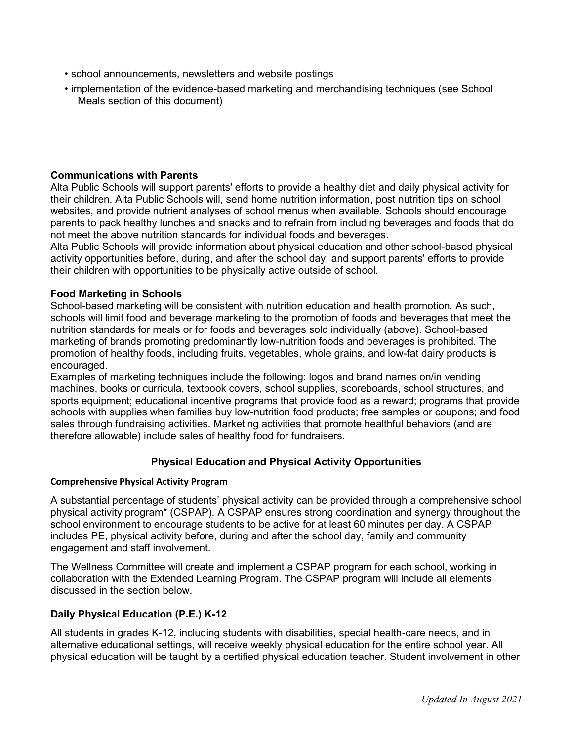- school announcements, newsletters and website postings
- implementation of the evidence-based marketing and merchandising techniques (see School Meals section of this document)

#### **Communications with Parents**

Alta Public Schools will support parents' efforts to provide a healthy diet and daily physical activity for their children. Alta Public Schools will, send home nutrition information, post nutrition tips on school websites, and provide nutrient analyses of school menus when available. Schools should encourage parents to pack healthy lunches and snacks and to refrain from including beverages and foods that do not meet the above nutrition standards for individual foods and beverages.

Alta Public Schools will provide information about physical education and other school-based physical activity opportunities before, during, and after the school day; and support parents' efforts to provide their children with opportunities to be physically active outside of school.

#### **Food Marketing in Schools**

School-based marketing will be consistent with nutrition education and health promotion. As such, schools will limit food and beverage marketing to the promotion of foods and beverages that meet the nutrition standards for meals or for foods and beverages sold individually (above). School-based marketing of brands promoting predominantly low-nutrition foods and beverages is prohibited. The promotion of healthy foods, including fruits, vegetables, whole grains, and low-fat dairy products is encouraged.

Examples of marketing techniques include the following: logos and brand names on/in vending machines, books or curricula, textbook covers, school supplies, scoreboards, school structures, and sports equipment; educational incentive programs that provide food as a reward; programs that provide schools with supplies when families buy low-nutrition food products; free samples or coupons; and food sales through fundraising activities. Marketing activities that promote healthful behaviors (and are therefore allowable) include sales of healthy food for fundraisers.

#### **Physical Education and Physical Activity Opportunities**

#### **Comprehensive Physical Activity Program**

A substantial percentage of students' physical activity can be provided through a comprehensive school physical activity program\* (CSPAP). A CSPAP ensures strong coordination and synergy throughout the school environment to encourage students to be active for at least 60 minutes per day. A CSPAP includes PE, physical activity before, during and after the school day, family and community engagement and staff involvement.

The Wellness Committee will create and implement a CSPAP program for each school, working in collaboration with the Extended Learning Program. The CSPAP program will include all elements discussed in the section below.

#### **Daily Physical Education (P.E.) K-12**

All students in grades K-12, including students with disabilities, special health-care needs, and in alternative educational settings, will receive weekly physical education for the entire school year. All physical education will be taught by a certified physical education teacher. Student involvement in other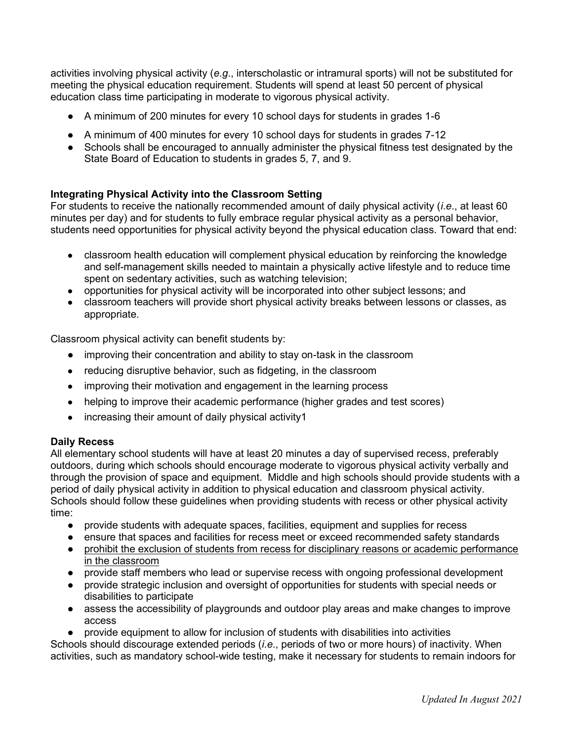activities involving physical activity (*e*.*g*., interscholastic or intramural sports) will not be substituted for meeting the physical education requirement. Students will spend at least 50 percent of physical education class time participating in moderate to vigorous physical activity.

- A minimum of 200 minutes for every 10 school days for students in grades 1-6
- A minimum of 400 minutes for every 10 school days for students in grades 7-12
- Schools shall be encouraged to annually administer the physical fitness test designated by the State Board of Education to students in grades 5, 7, and 9.

#### **Integrating Physical Activity into the Classroom Setting**

For students to receive the nationally recommended amount of daily physical activity (*i*.*e*., at least 60 minutes per day) and for students to fully embrace regular physical activity as a personal behavior, students need opportunities for physical activity beyond the physical education class. Toward that end:

- classroom health education will complement physical education by reinforcing the knowledge and self-management skills needed to maintain a physically active lifestyle and to reduce time spent on sedentary activities, such as watching television;
- opportunities for physical activity will be incorporated into other subject lessons; and
- classroom teachers will provide short physical activity breaks between lessons or classes, as appropriate.

Classroom physical activity can benefit students by:

- improving their concentration and ability to stay on-task in the classroom
- reducing disruptive behavior, such as fidgeting, in the classroom
- improving their motivation and engagement in the learning process
- helping to improve their academic performance (higher grades and test scores)
- increasing their amount of daily physical activity1

#### **Daily Recess**

All elementary school students will have at least 20 minutes a day of supervised recess, preferably outdoors, during which schools should encourage moderate to vigorous physical activity verbally and through the provision of space and equipment. Middle and high schools should provide students with a period of daily physical activity in addition to physical education and classroom physical activity. Schools should follow these guidelines when providing students with recess or other physical activity time:

- provide students with adequate spaces, facilities, equipment and supplies for recess
- ensure that spaces and facilities for recess meet or exceed recommended safety standards ● prohibit the exclusion of students from recess for disciplinary reasons or academic performance in the classroom
- provide staff members who lead or supervise recess with ongoing professional development
- provide strategic inclusion and oversight of opportunities for students with special needs or disabilities to participate
- assess the accessibility of playgrounds and outdoor play areas and make changes to improve access
- provide equipment to allow for inclusion of students with disabilities into activities

Schools should discourage extended periods (*i*.*e*., periods of two or more hours) of inactivity. When activities, such as mandatory school-wide testing, make it necessary for students to remain indoors for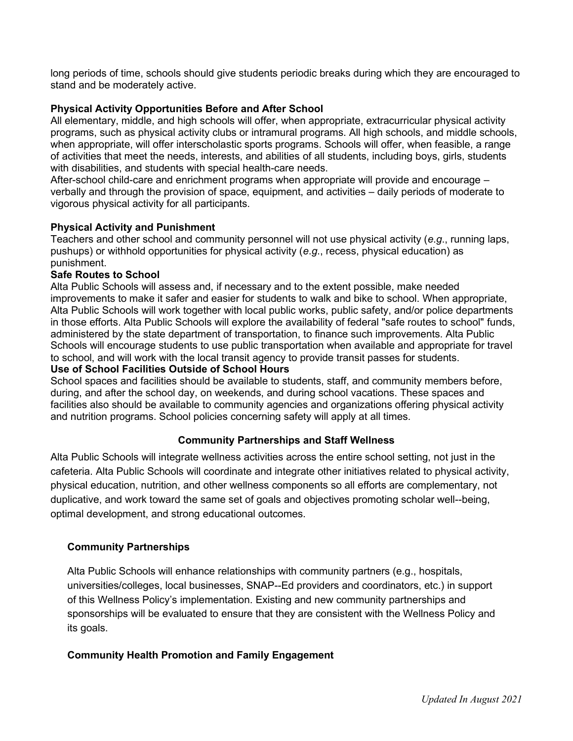long periods of time, schools should give students periodic breaks during which they are encouraged to stand and be moderately active.

#### **Physical Activity Opportunities Before and After School**

All elementary, middle, and high schools will offer, when appropriate, extracurricular physical activity programs, such as physical activity clubs or intramural programs. All high schools, and middle schools, when appropriate, will offer interscholastic sports programs. Schools will offer, when feasible, a range of activities that meet the needs, interests, and abilities of all students, including boys, girls, students with disabilities, and students with special health-care needs.

After-school child-care and enrichment programs when appropriate will provide and encourage – verbally and through the provision of space, equipment, and activities – daily periods of moderate to vigorous physical activity for all participants.

### **Physical Activity and Punishment**

Teachers and other school and community personnel will not use physical activity (*e*.*g*., running laps, pushups) or withhold opportunities for physical activity (*e*.*g*., recess, physical education) as punishment.

#### **Safe Routes to School**

Alta Public Schools will assess and, if necessary and to the extent possible, make needed improvements to make it safer and easier for students to walk and bike to school. When appropriate, Alta Public Schools will work together with local public works, public safety, and/or police departments in those efforts. Alta Public Schools will explore the availability of federal "safe routes to school" funds, administered by the state department of transportation, to finance such improvements. Alta Public Schools will encourage students to use public transportation when available and appropriate for travel to school, and will work with the local transit agency to provide transit passes for students.

#### **Use of School Facilities Outside of School Hours**

School spaces and facilities should be available to students, staff, and community members before, during, and after the school day, on weekends, and during school vacations. These spaces and facilities also should be available to community agencies and organizations offering physical activity and nutrition programs. School policies concerning safety will apply at all times.

## **Community Partnerships and Staff Wellness**

Alta Public Schools will integrate wellness activities across the entire school setting, not just in the cafeteria. Alta Public Schools will coordinate and integrate other initiatives related to physical activity, physical education, nutrition, and other wellness components so all efforts are complementary, not duplicative, and work toward the same set of goals and objectives promoting scholar well--being, optimal development, and strong educational outcomes.

#### **Community Partnerships**

Alta Public Schools will enhance relationships with community partners (e.g., hospitals, universities/colleges, local businesses, SNAP--Ed providers and coordinators, etc.) in support of this Wellness Policy's implementation. Existing and new community partnerships and sponsorships will be evaluated to ensure that they are consistent with the Wellness Policy and its goals.

#### **Community Health Promotion and Family Engagement**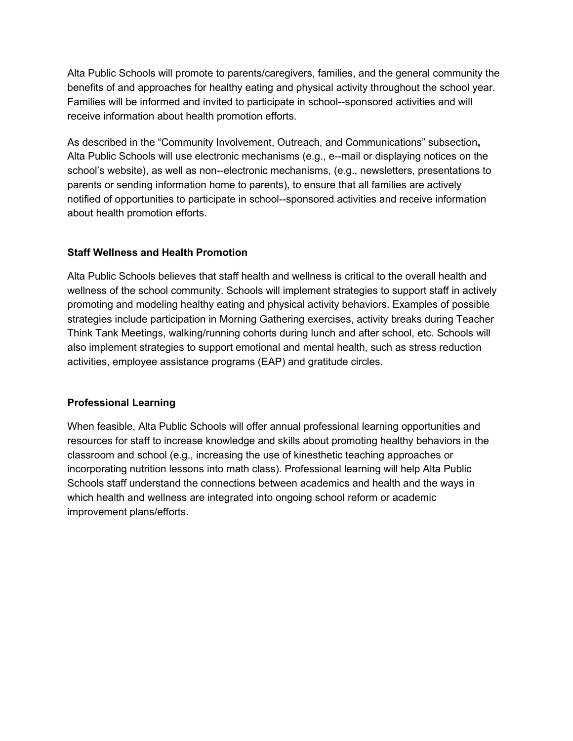Alta Public Schools will promote to parents/caregivers, families, and the general community the benefits of and approaches for healthy eating and physical activity throughout the school year. Families will be informed and invited to participate in school--sponsored activities and will receive information about health promotion efforts.

As described in the "Community Involvement, Outreach, and Communications" subsection**,**  Alta Public Schools will use electronic mechanisms (e.g., e--mail or displaying notices on the school's website), as well as non--electronic mechanisms, (e.g., newsletters, presentations to parents or sending information home to parents), to ensure that all families are actively notified of opportunities to participate in school--sponsored activities and receive information about health promotion efforts.

### **Staff Wellness and Health Promotion**

Alta Public Schools believes that staff health and wellness is critical to the overall health and wellness of the school community. Schools will implement strategies to support staff in actively promoting and modeling healthy eating and physical activity behaviors. Examples of possible strategies include participation in Morning Gathering exercises, activity breaks during Teacher Think Tank Meetings, walking/running cohorts during lunch and after school, etc. Schools will also implement strategies to support emotional and mental health, such as stress reduction activities, employee assistance programs (EAP) and gratitude circles.

## **Professional Learning**

When feasible, Alta Public Schools will offer annual professional learning opportunities and resources for staff to increase knowledge and skills about promoting healthy behaviors in the classroom and school (e.g., increasing the use of kinesthetic teaching approaches or incorporating nutrition lessons into math class). Professional learning will help Alta Public Schools staff understand the connections between academics and health and the ways in which health and wellness are integrated into ongoing school reform or academic improvement plans/efforts.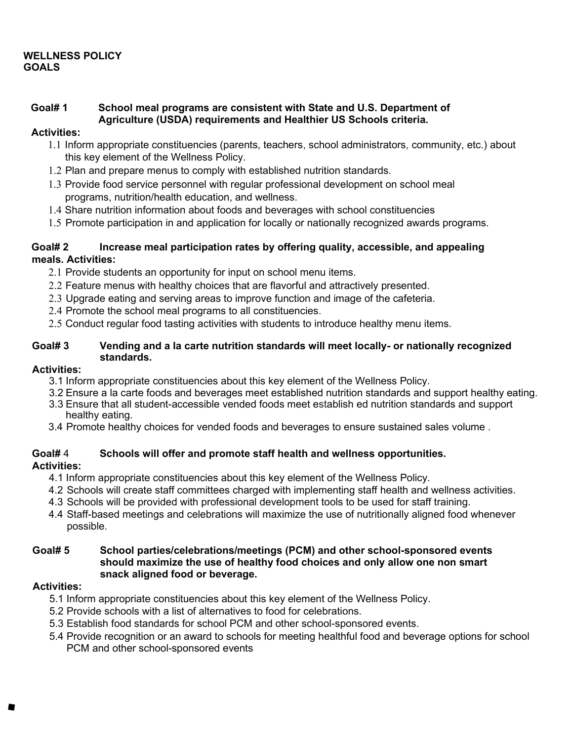## **WELLNESS POLICY GOALS**

#### **Goal# 1 School meal programs are consistent with State and U.S. Department of Agriculture (USDA) requirements and Healthier US Schools criteria.**

### **Activities:**

- 1.1 Inform appropriate constituencies (parents, teachers, school administrators, community, etc.) about this key element of the Wellness Policy.
- 1.2 Plan and prepare menus to comply with established nutrition standards.
- 1.3 Provide food service personnel with regular professional development on school meal programs, nutrition/health education, and wellness.
- 1.4 Share nutrition information about foods and beverages with school constituencies
- 1.5 Promote participation in and application for locally or nationally recognized awards programs.

### **Goal# 2 Increase meal participation rates by offering quality, accessible, and appealing meals. Activities:**

- 2.1 Provide students an opportunity for input on school menu items.
- 2.2 Feature menus with healthy choices that are flavorful and attractively presented.
- 2.3 Upgrade eating and serving areas to improve function and image of the cafeteria.
- 2.4 Promote the school meal programs to all constituencies.
- 2.5 Conduct regular food tasting activities with students to introduce healthy menu items.

#### **Goal# 3 Vending and a la carte nutrition standards will meet locally- or nationally recognized standards.**

### **Activities:**

- 3.1 Inform appropriate constituencies about this key element of the Wellness Policy.
- 3.2 Ensure a la carte foods and beverages meet established nutrition standards and support healthy eating.
- 3.3 Ensure that all student-accessible vended foods meet establish ed nutrition standards and support healthy eating.
- 3.4 Promote healthy choices for vended foods and beverages to ensure sustained sales volume .

#### **Goal#** 4 **Schools will offer and promote staff health and wellness opportunities. Activities:**

- 4.1 Inform appropriate constituencies about this key element of the Wellness Policy.
- 4.2 Schools will create staff committees charged with implementing staff health and wellness activities.
- 4.3 Schools will be provided with professional development tools to be used for staff training.
- 4.4 Staff-based meetings and celebrations will maximize the use of nutritionally aligned food whenever possible.

#### **Goal# 5 School parties/celebrations/meetings (PCM) and other school-sponsored events should maximize the use of healthy food choices and only allow one non smart snack aligned food or beverage.**

## **Activities:**

- 5.1 Inform appropriate constituencies about this key element of the Wellness Policy.
- 5.2 Provide schools with a list of alternatives to food for celebrations.
- 5.3 Establish food standards for school PCM and other school-sponsored events.
- 5.4 Provide recognition or an award to schools for meeting healthful food and beverage options for school PCM and other school-sponsored events